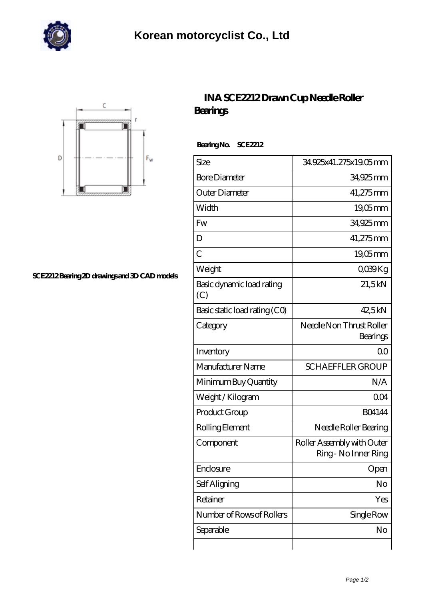



## **[SCE2212 Bearing 2D drawings and 3D CAD models](https://m.johnsparagana.com/pic-310576.html)**

## **[INA SCE2212 Drawn Cup Needle Roller](https://m.johnsparagana.com/at-310576-ina-sce2212-drawn-cup-needle-roller-bearings.html) [Bearings](https://m.johnsparagana.com/at-310576-ina-sce2212-drawn-cup-needle-roller-bearings.html)**

 **Bearing No. SCE2212**

| Size                             | 34.925x41.275x19.05mm                              |
|----------------------------------|----------------------------------------------------|
| <b>Bore Diameter</b>             | 34,925 mm                                          |
| Outer Diameter                   | 41,275mm                                           |
| Width                            | $19,05$ mm                                         |
| Fw                               | 34,925mm                                           |
| D                                | 41,275mm                                           |
| $\overline{C}$                   | $19,05$ mm                                         |
| Weight                           | QO39Kg                                             |
| Basic dynamic load rating<br>(C) | 21,5kN                                             |
| Basic static load rating (CO)    | 42,5kN                                             |
| Category                         | Needle Non Thrust Roller<br>Bearings               |
| Inventory                        | 0 <sup>0</sup>                                     |
| Manufacturer Name                | <b>SCHAEFFLER GROUP</b>                            |
| Minimum Buy Quantity             | N/A                                                |
| Weight / Kilogram                | QO4                                                |
| Product Group                    | <b>BO4144</b>                                      |
| Rolling Element                  | Needle Roller Bearing                              |
| Component                        | Roller Assembly with Outer<br>Ring - No Inner Ring |
| Enclosure                        | Open                                               |
| Self Aligning                    | No                                                 |
| Retainer                         | Yes                                                |
| Number of Rows of Rollers        | Single Row                                         |
| Separable                        | No                                                 |
|                                  |                                                    |